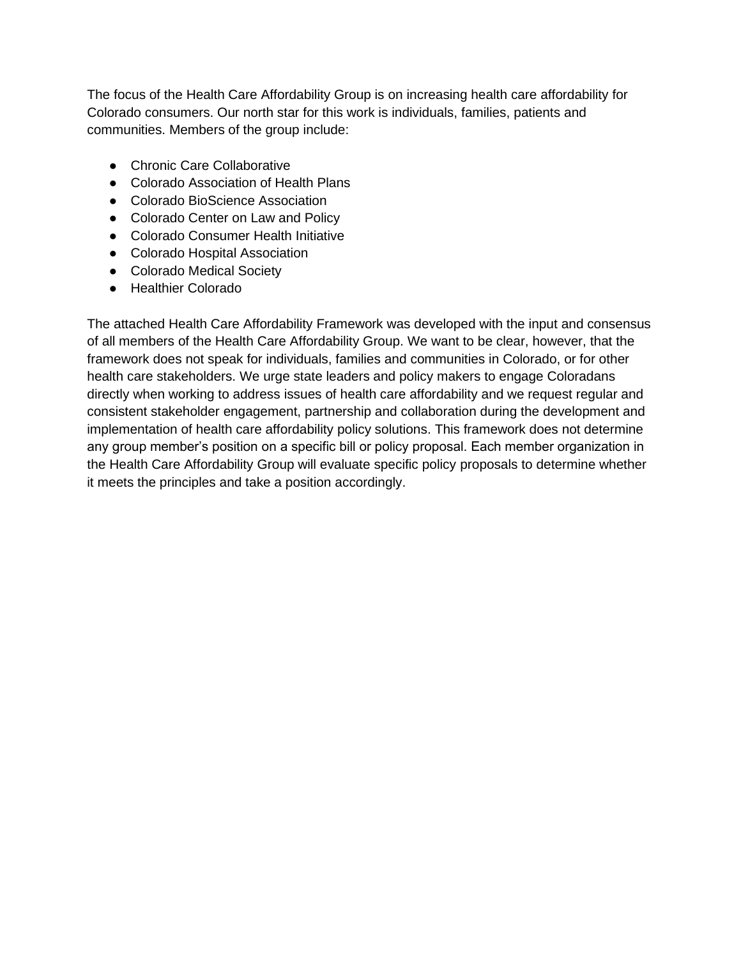The focus of the Health Care Affordability Group is on increasing health care affordability for Colorado consumers. Our north star for this work is individuals, families, patients and communities. Members of the group include:

- Chronic Care Collaborative
- Colorado Association of Health Plans
- Colorado BioScience Association
- Colorado Center on Law and Policy
- Colorado Consumer Health Initiative
- Colorado Hospital Association
- Colorado Medical Society
- Healthier Colorado

The attached Health Care Affordability Framework was developed with the input and consensus of all members of the Health Care Affordability Group. We want to be clear, however, that the framework does not speak for individuals, families and communities in Colorado, or for other health care stakeholders. We urge state leaders and policy makers to engage Coloradans directly when working to address issues of health care affordability and we request regular and consistent stakeholder engagement, partnership and collaboration during the development and implementation of health care affordability policy solutions. This framework does not determine any group member's position on a specific bill or policy proposal. Each member organization in the Health Care Affordability Group will evaluate specific policy proposals to determine whether it meets the principles and take a position accordingly.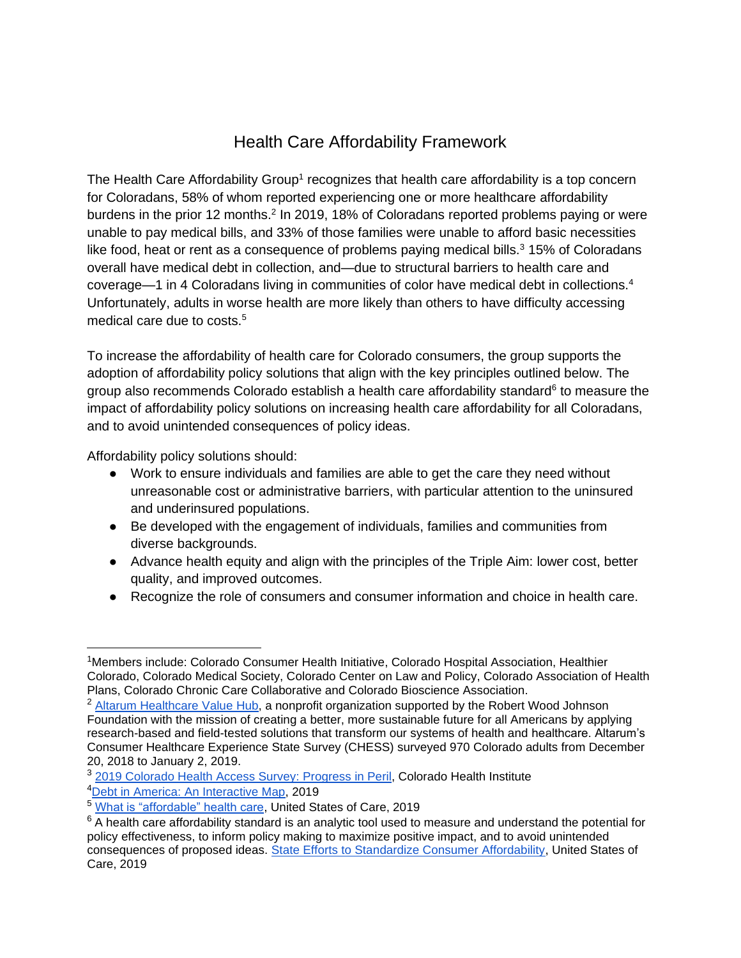## Health Care Affordability Framework

The Health Care Affordability Group<sup>1</sup> recognizes that health care affordability is a top concern for Coloradans, 58% of whom reported experiencing one or more healthcare affordability burdens in the prior 12 months.<sup>2</sup> In 2019, 18% of Coloradans reported problems paying or were unable to pay medical bills, and 33% of those families were unable to afford basic necessities like food, heat or rent as a consequence of problems paying medical bills.<sup>3</sup> 15% of Coloradans overall have medical debt in collection, and—due to structural barriers to health care and coverage—1 in 4 Coloradans living in communities of color have medical debt in collections.<sup>4</sup> Unfortunately, adults in worse health are more likely than others to have difficulty accessing medical care due to costs.<sup>5</sup>

To increase the affordability of health care for Colorado consumers, the group supports the adoption of affordability policy solutions that align with the key principles outlined below. The group also recommends Colorado establish a health care affordability standard<sup>6</sup> to measure the impact of affordability policy solutions on increasing health care affordability for all Coloradans, and to avoid unintended consequences of policy ideas.

Affordability policy solutions should:

- Work to ensure individuals and families are able to get the care they need without unreasonable cost or administrative barriers, with particular attention to the uninsured and underinsured populations.
- Be developed with the engagement of individuals, families and communities from diverse backgrounds.
- Advance health equity and align with the principles of the Triple Aim: lower cost, better quality, and improved outcomes.
- Recognize the role of consumers and consumer information and choice in health care.

<sup>&</sup>lt;sup>1</sup>Members include: Colorado Consumer Health Initiative, Colorado Hospital Association, Healthier Colorado, Colorado Medical Society, Colorado Center on Law and Policy, Colorado Association of Health Plans, Colorado Chronic Care Collaborative and Colorado Bioscience Association.

<sup>&</sup>lt;sup>2</sup> [Altarum Healthcare Value Hub,](https://healthcarevaluehub.org/affordability-scorecard/colorado?select-state=https%3A%2F%2Fhealthcarevaluehub.org%2Faffordability-scorecard%2Fcolorado) a nonprofit organization supported by the Robert Wood Johnson Foundation with the mission of creating a better, more sustainable future for all Americans by applying research-based and field-tested solutions that transform our systems of health and healthcare. Altarum's Consumer Healthcare Experience State Survey (CHESS) surveyed 970 Colorado adults from December 20, 2018 to January 2, 2019.

<sup>3</sup> [2019 Colorado Health Access Survey:](https://www.coloradohealthinstitute.org/research/CHAS) Progress in Peril, Colorado Health Institute

<sup>4</sup>[Debt in America: An Interactive Map,](https://apps.urban.org/features/debt-interactive-map/?type=overall&variable=pct_w_medical_debt_in_collections) 2019

<sup>5</sup> [What is "affordable" health care,](https://ldi.upenn.edu/sites/default/files/pdf/Penn%20LDI%20and%20USofC%20Affordability%20Issue%20Brief_Final.pdf) United States of Care, 2019

 $6$  A health care affordability standard is an analytic tool used to measure and understand the potential for policy effectiveness, to inform policy making to maximize positive impact, and to avoid unintended consequences of proposed ideas. [State Efforts to Standardize Consumer Affordability,](https://unitedstatesofcare.org/wp-content/uploads/2019/11/USoC_AffordabilityStandard_Briefing.pdf) United States of Care, 2019